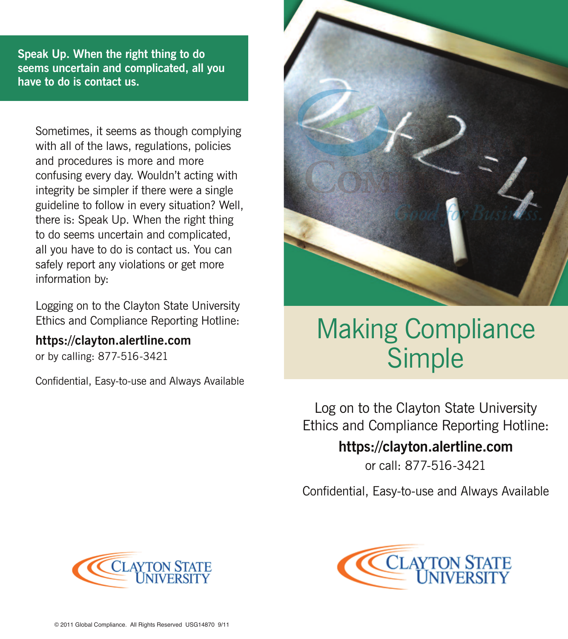**Speak Up. When the right thing to do seems uncertain and complicated, all you have to do is contact us.**

Sometimes, it seems as though complying with all of the laws, regulations, policies and procedures is more and more confusing every day. Wouldn't acting with integrity be simpler if there were a single guideline to follow in every situation? Well, there is: Speak Up. When the right thing to do seems uncertain and complicated, all you have to do is contact us. You can safely report any violations or get more information by:

Logging on to the Clayton State University Ethics and Compliance Reporting Hotline:

## **https://clayton.alertline.com**

or by calling: 877-516-3421

Confidential, Easy-to-use and Always Available



## Making Compliance Simple

Log on to the Clayton State University Ethics and Compliance Reporting Hotline:

## **https://clayton.alertline.com**

or call: 877-516-3421

Confidential, Easy-to-use and Always Available